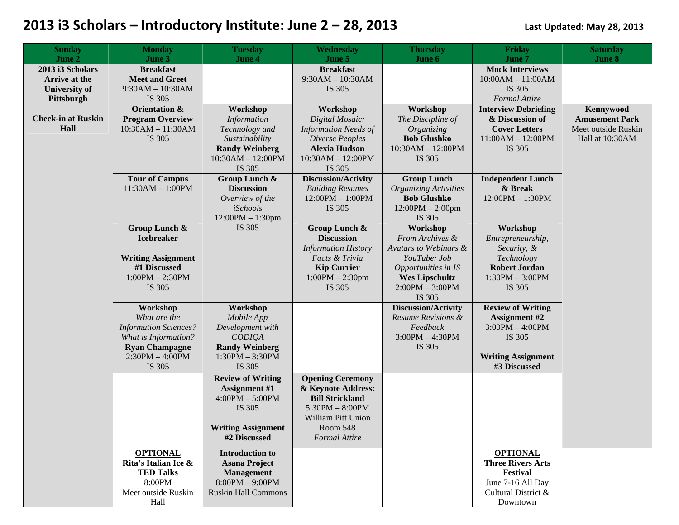| <b>Sunday</b><br>June 2                                                 | <b>Monday</b><br>June 3                                                                                                                  | <b>Tuesday</b><br>June 4                                                                                                     | Wednesday<br>June 5                                                                                                                                           | <b>Thursday</b><br>June 6                                                                                                                           | Friday<br>June 7                                                                                                             | <b>Saturday</b><br>June 8                                                    |
|-------------------------------------------------------------------------|------------------------------------------------------------------------------------------------------------------------------------------|------------------------------------------------------------------------------------------------------------------------------|---------------------------------------------------------------------------------------------------------------------------------------------------------------|-----------------------------------------------------------------------------------------------------------------------------------------------------|------------------------------------------------------------------------------------------------------------------------------|------------------------------------------------------------------------------|
| 2013 i3 Scholars<br>Arrive at the<br><b>University of</b><br>Pittsburgh | <b>Breakfast</b><br><b>Meet and Greet</b><br>$9:30AM - 10:30AM$<br>IS 305                                                                |                                                                                                                              | <b>Breakfast</b><br>$9:30AM - 10:30AM$<br>IS 305                                                                                                              |                                                                                                                                                     | <b>Mock Interviews</b><br>$10:00AM - 11:00AM$<br>IS 305<br><b>Formal Attire</b>                                              |                                                                              |
| <b>Check-in at Ruskin</b><br>Hall                                       | <b>Orientation &amp;</b><br><b>Program Overview</b><br>$10:30AM - 11:30AM$<br>IS 305                                                     | Workshop<br><b>Information</b><br>Technology and<br>Sustainability<br><b>Randy Weinberg</b><br>10:30AM - 12:00PM<br>IS 305   | Workshop<br>Digital Mosaic:<br><b>Information Needs of</b><br>Diverse Peoples<br><b>Alexia Hudson</b><br>$10:30AM - 12:00PM$<br>IS 305                        | Workshop<br>The Discipline of<br>Organizing<br><b>Bob Glushko</b><br>$10:30AM - 12:00PM$<br>IS 305                                                  | <b>Interview Debriefing</b><br>& Discussion of<br><b>Cover Letters</b><br>$11:00AM - 12:00PM$<br>IS 305                      | Kennywood<br><b>Amusement Park</b><br>Meet outside Ruskin<br>Hall at 10:30AM |
|                                                                         | <b>Tour of Campus</b><br>$11:30AM - 1:00PM$                                                                                              | Group Lunch &<br><b>Discussion</b><br>Overview of the<br>iSchools<br>$12:00PM - 1:30pm$                                      | <b>Discussion/Activity</b><br><b>Building Resumes</b><br>$12:00PM - 1:00PM$<br>IS 305                                                                         | <b>Group Lunch</b><br><b>Organizing Activities</b><br><b>Bob Glushko</b><br>$12:00PM - 2:00pm$<br>IS 305                                            | <b>Independent Lunch</b><br>& Break<br>12:00PM - 1:30PM                                                                      |                                                                              |
|                                                                         | Group Lunch &<br><b>Icebreaker</b><br><b>Writing Assignment</b><br>#1 Discussed<br>$1:00PM - 2:30PM$<br>IS 305                           | IS 305                                                                                                                       | Group Lunch &<br><b>Discussion</b><br><b>Information History</b><br>Facts & Trivia<br><b>Kip Currier</b><br>$1:00PM - 2:30pm$<br>IS 305                       | Workshop<br>From Archives &<br>Avatars to Webinars &<br>YouTube: Job<br>Opportunities in IS<br><b>Wes Lipschultz</b><br>$2:00PM - 3:00PM$<br>IS 305 | Workshop<br>Entrepreneurship,<br>Security, &<br>Technology<br><b>Robert Jordan</b><br>$1:30PM - 3:00PM$<br>IS 305            |                                                                              |
|                                                                         | Workshop<br>What are the<br><b>Information Sciences?</b><br>What is Information?<br><b>Ryan Champagne</b><br>$2:30PM - 4:00PM$<br>IS 305 | Workshop<br>Mobile App<br>Development with<br><b>CODIQA</b><br><b>Randy Weinberg</b><br>$1:30PM - 3:30PM$<br>IS 305          |                                                                                                                                                               | <b>Discussion/Activity</b><br>Resume Revisions &<br>Feedback<br>$3:00PM - 4:30PM$<br>IS 305                                                         | <b>Review of Writing</b><br><b>Assignment #2</b><br>$3:00PM - 4:00PM$<br>IS 305<br><b>Writing Assignment</b><br>#3 Discussed |                                                                              |
|                                                                         |                                                                                                                                          | <b>Review of Writing</b><br><b>Assignment #1</b><br>$4:00PM - 5:00PM$<br>IS 305<br><b>Writing Assignment</b><br>#2 Discussed | <b>Opening Ceremony</b><br>& Keynote Address:<br><b>Bill Strickland</b><br>$5:30PM - 8:00PM$<br>William Pitt Union<br><b>Room 548</b><br><b>Formal Attire</b> |                                                                                                                                                     |                                                                                                                              |                                                                              |
|                                                                         | <b>OPTIONAL</b><br>Rita's Italian Ice &<br><b>TED Talks</b><br>8:00PM<br>Meet outside Ruskin<br>Hall                                     | <b>Introduction to</b><br><b>Asana Project</b><br>Management<br>$8:00PM - 9:00PM$<br><b>Ruskin Hall Commons</b>              |                                                                                                                                                               |                                                                                                                                                     | <b>OPTIONAL</b><br><b>Three Rivers Arts</b><br>Festival<br>June 7-16 All Day<br>Cultural District &<br>Downtown              |                                                                              |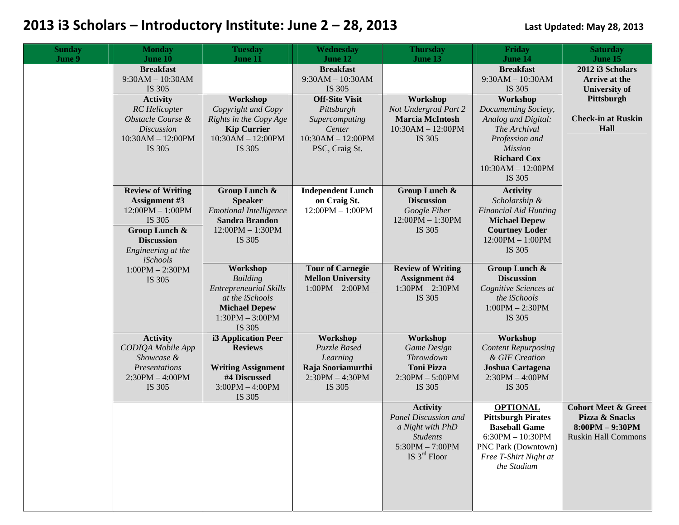| <b>Sunday</b> | <b>Monday</b>                                                                                                                                            | <b>Tuesday</b>                                                                                                                         | Wednesday                                                                                                | <b>Thursday</b>                                                                                                       | Friday                                                                                                                                                             | <b>Saturday</b>                                                                                     |
|---------------|----------------------------------------------------------------------------------------------------------------------------------------------------------|----------------------------------------------------------------------------------------------------------------------------------------|----------------------------------------------------------------------------------------------------------|-----------------------------------------------------------------------------------------------------------------------|--------------------------------------------------------------------------------------------------------------------------------------------------------------------|-----------------------------------------------------------------------------------------------------|
| June 9        | June 10<br><b>Breakfast</b><br>$9:30AM - 10:30AM$<br>IS 305                                                                                              | June 11                                                                                                                                | June 12<br><b>Breakfast</b><br>$9:30AM - 10:30AM$<br>IS 305                                              | June 13                                                                                                               | June 14<br><b>Breakfast</b><br>$9:30AM - 10:30AM$<br>IS 305                                                                                                        | June 15<br>2012 i3 Scholars<br>Arrive at the<br><b>University of</b>                                |
|               | <b>Activity</b><br><b>RC</b> Helicopter<br>Obstacle Course &<br><b>Discussion</b><br>$10:30AM - 12:00PM$<br>IS 305                                       | Workshop<br>Copyright and Copy<br>Rights in the Copy Age<br><b>Kip Currier</b><br>$10:30AM - 12:00PM$<br>IS 305                        | <b>Off-Site Visit</b><br>Pittsburgh<br>Supercomputing<br>Center<br>$10:30AM - 12:00PM$<br>PSC, Craig St. | Workshop<br>Not Undergrad Part 2<br><b>Marcia McIntosh</b><br>$10:30AM - 12:00PM$<br>IS 305                           | Workshop<br>Documenting Society,<br>Analog and Digital:<br>The Archival<br>Profession and<br><b>Mission</b><br><b>Richard Cox</b><br>$10:30AM - 12:00PM$<br>IS 305 | Pittsburgh<br><b>Check-in at Ruskin</b><br>Hall                                                     |
|               | <b>Review of Writing</b><br><b>Assignment #3</b><br>$12:00PM - 1:00PM$<br>IS 305<br>Group Lunch &<br><b>Discussion</b><br>Engineering at the<br>iSchools | Group Lunch &<br><b>Speaker</b><br><b>Emotional Intelligence</b><br><b>Sandra Brandon</b><br>$12:00PM - 1:30PM$<br>IS 305              | <b>Independent Lunch</b><br>on Craig St.<br>$12:00PM - 1:00PM$                                           | Group Lunch &<br><b>Discussion</b><br>Google Fiber<br>$12:00PM - 1:30PM$<br>IS 305                                    | <b>Activity</b><br>Scholarship &<br><b>Financial Aid Hunting</b><br><b>Michael Depew</b><br><b>Courtney Loder</b><br>$12:00PM - 1:00PM$<br>IS 305                  |                                                                                                     |
|               | $1:00PM - 2:30PM$<br>IS 305                                                                                                                              | Workshop<br><b>Building</b><br><b>Entrepreneurial Skills</b><br>at the iSchools<br><b>Michael Depew</b><br>$1:30PM - 3:00PM$<br>IS 305 | <b>Tour of Carnegie</b><br><b>Mellon University</b><br>$1:00PM - 2:00PM$                                 | <b>Review of Writing</b><br><b>Assignment #4</b><br>$1:30PM - 2:30PM$<br>IS 305                                       | Group Lunch &<br><b>Discussion</b><br>Cognitive Sciences at<br>the iSchools<br>$1:00PM - 2:30PM$<br>IS 305                                                         |                                                                                                     |
|               | <b>Activity</b><br>CODIQA Mobile App<br>Showcase &<br>Presentations<br>$2:30PM - 4:00PM$<br>IS 305                                                       | <b>i3 Application Peer</b><br><b>Reviews</b><br><b>Writing Assignment</b><br>#4 Discussed<br>$3:00PM - 4:00PM$<br>IS 305               | Workshop<br><b>Puzzle Based</b><br>Learning<br>Raja Sooriamurthi<br>$2:30PM - 4:30PM$<br>IS 305          | Workshop<br><b>Game Design</b><br>Throwdown<br><b>Toni Pizza</b><br>$2:30PM - 5:00PM$<br>IS 305                       | Workshop<br><b>Content Repurposing</b><br>& GIF Creation<br>Joshua Cartagena<br>$2:30PM - 4:00PM$<br>IS 305                                                        |                                                                                                     |
|               |                                                                                                                                                          |                                                                                                                                        |                                                                                                          | <b>Activity</b><br>Panel Discussion and<br>a Night with PhD<br><b>Students</b><br>$5:30PM - 7:00PM$<br>IS $3rd$ Floor | <b>OPTIONAL</b><br><b>Pittsburgh Pirates</b><br><b>Baseball Game</b><br>$6:30PM - 10:30PM$<br>PNC Park (Downtown)<br>Free T-Shirt Night at<br>the Stadium          | <b>Cohort Meet &amp; Greet</b><br>Pizza & Snacks<br>$8:00PM - 9:30PM$<br><b>Ruskin Hall Commons</b> |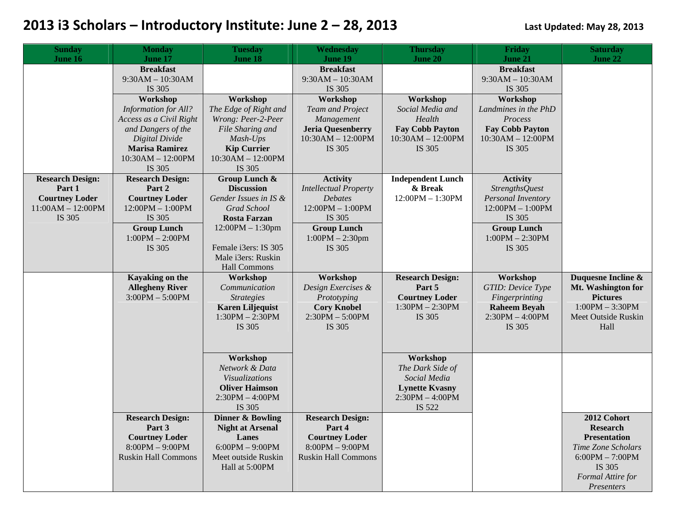| <b>Sunday</b>                                | <b>Monday</b>                               | <b>Tuesday</b>                     | Wednesday                               | <b>Thursday</b>          | Friday                                   | <b>Saturday</b>     |
|----------------------------------------------|---------------------------------------------|------------------------------------|-----------------------------------------|--------------------------|------------------------------------------|---------------------|
| June 16                                      | <b>June 17</b>                              | June 18                            | <b>June 19</b>                          | June 20                  | June 21                                  | June 22             |
|                                              | <b>Breakfast</b>                            |                                    | <b>Breakfast</b>                        |                          | <b>Breakfast</b>                         |                     |
|                                              | $9:30AM - 10:30AM$                          |                                    | $9:30AM - 10:30AM$                      |                          | $9:30AM - 10:30AM$                       |                     |
|                                              | IS 305                                      |                                    | IS 305                                  |                          | IS 305                                   |                     |
|                                              | Workshop                                    | Workshop                           | Workshop                                | Workshop                 | Workshop                                 |                     |
|                                              | <b>Information for All?</b>                 | The Edge of Right and              | <b>Team and Project</b>                 | Social Media and         | Landmines in the PhD                     |                     |
|                                              | Access as a Civil Right                     | Wrong: Peer-2-Peer                 | Management                              | Health                   | Process                                  |                     |
|                                              | and Dangers of the                          | File Sharing and                   | <b>Jeria Quesenberry</b>                | <b>Fay Cobb Payton</b>   | <b>Fay Cobb Payton</b>                   |                     |
|                                              | Digital Divide                              | Mash-Ups                           | $10:30AM - 12:00PM$                     | $10:30AM - 12:00PM$      | $10:30AM - 12:00PM$                      |                     |
|                                              | <b>Marisa Ramirez</b>                       | <b>Kip Currier</b>                 | IS 305                                  | IS 305                   | IS 305                                   |                     |
|                                              | $10:30AM - 12:00PM$                         | 10:30AM - 12:00PM                  |                                         |                          |                                          |                     |
|                                              | IS 305                                      | IS 305                             |                                         |                          |                                          |                     |
| <b>Research Design:</b>                      | <b>Research Design:</b>                     | Group Lunch &                      | <b>Activity</b>                         | <b>Independent Lunch</b> | <b>Activity</b>                          |                     |
| Part 1                                       | Part 2                                      | <b>Discussion</b>                  | <b>Intellectual Property</b>            | & Break                  | <b>StrengthsQuest</b>                    |                     |
| <b>Courtney Loder</b><br>$11:00AM - 12:00PM$ | <b>Courtney Loder</b><br>$12:00PM - 1:00PM$ | Gender Issues in IS &              | <b>Debates</b><br>$12:00PM - 1:00PM$    | $12:00PM - 1:30PM$       | Personal Inventory<br>$12:00PM - 1:00PM$ |                     |
|                                              |                                             | Grad School<br><b>Rosta Farzan</b> |                                         |                          |                                          |                     |
| IS 305                                       | IS 305                                      | $12:00PM - 1:30pm$                 | IS 305                                  |                          | IS 305                                   |                     |
|                                              | <b>Group Lunch</b><br>$1:00PM - 2:00PM$     |                                    | <b>Group Lunch</b><br>$1:00PM - 2:30pm$ |                          | <b>Group Lunch</b><br>$1:00PM - 2:30PM$  |                     |
|                                              | IS 305                                      | Female i3ers: IS 305               | IS 305                                  |                          | IS 305                                   |                     |
|                                              |                                             | Male i3ers: Ruskin                 |                                         |                          |                                          |                     |
|                                              |                                             | Hall Commons                       |                                         |                          |                                          |                     |
|                                              | Kayaking on the                             | Workshop                           | Workshop                                | <b>Research Design:</b>  | Workshop                                 | Duquesne Incline &  |
|                                              | <b>Allegheny River</b>                      | Communication                      | Design Exercises &                      | Part 5                   | GTID: Device Type                        | Mt. Washington for  |
|                                              | $3:00PM - 5:00PM$                           | <b>Strategies</b>                  | Prototyping                             | <b>Courtney Loder</b>    | Fingerprinting                           | <b>Pictures</b>     |
|                                              |                                             | <b>Karen Liljequist</b>            | <b>Cory Knobel</b>                      | $1:30PM - 2:30PM$        | <b>Raheem Beyah</b>                      | $1:00PM - 3:30PM$   |
|                                              |                                             | $1:30PM - 2:30PM$                  | $2:30PM - 5:00PM$                       | IS 305                   | $2:30PM - 4:00PM$                        | Meet Outside Ruskin |
|                                              |                                             | IS 305                             | IS 305                                  |                          | IS 305                                   | Hall                |
|                                              |                                             |                                    |                                         |                          |                                          |                     |
|                                              |                                             |                                    |                                         |                          |                                          |                     |
|                                              |                                             | Workshop                           |                                         | Workshop                 |                                          |                     |
|                                              |                                             | Network & Data                     |                                         | The Dark Side of         |                                          |                     |
|                                              |                                             | Visualizations                     |                                         | Social Media             |                                          |                     |
|                                              |                                             | <b>Oliver Haimson</b>              |                                         | <b>Lynette Kvasny</b>    |                                          |                     |
|                                              |                                             | $2:30PM - 4:00PM$                  |                                         | $2:30PM - 4:00PM$        |                                          |                     |
|                                              |                                             | IS 305                             |                                         | IS 522                   |                                          |                     |
|                                              | <b>Research Design:</b>                     | <b>Dinner &amp; Bowling</b>        | <b>Research Design:</b>                 |                          |                                          | 2012 Cohort         |
|                                              | Part 3                                      | <b>Night at Arsenal</b>            | Part 4                                  |                          |                                          | <b>Research</b>     |
|                                              | <b>Courtney Loder</b>                       | Lanes                              | <b>Courtney Loder</b>                   |                          |                                          | <b>Presentation</b> |
|                                              | $8:00PM - 9:00PM$                           | $6:00PM - 9:00PM$                  | $8:00PM - 9:00PM$                       |                          |                                          | Time Zone Scholars  |
|                                              | <b>Ruskin Hall Commons</b>                  | Meet outside Ruskin                | <b>Ruskin Hall Commons</b>              |                          |                                          | $6:00PM - 7:00PM$   |
|                                              |                                             | Hall at 5:00PM                     |                                         |                          |                                          | IS 305              |
|                                              |                                             |                                    |                                         |                          |                                          | Formal Attire for   |
|                                              |                                             |                                    |                                         |                          |                                          | Presenters          |